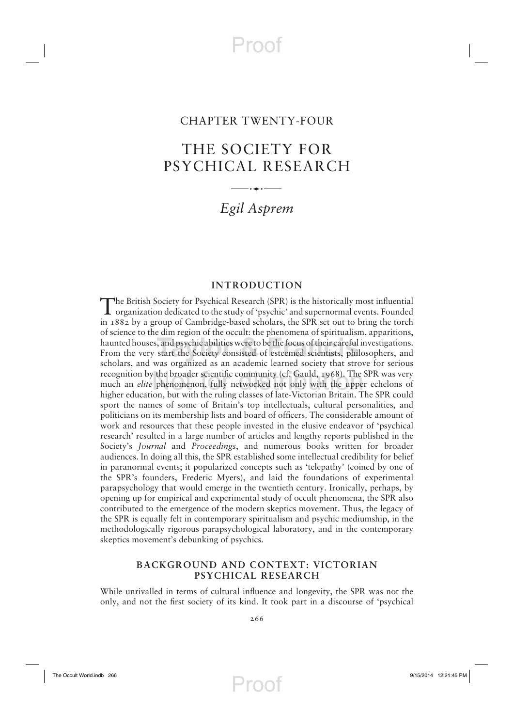# Proot

## CHAPTER TWENTY-FOUR

# THE SOCIETY FOR PSYCHICAL RESEARCH

# *Egil Asprem*

## **INTRODUCTION**

The British Society for Psychical Research (SPR) is the historically most influential organization dedicated to the study of 'psychic' and supernormal events. Founded in 1882 by a group of Cambridge-based scholars, the SPR set out to bring the torch of science to the dim region of the occult: the phenomena of spiritualism, apparitions, haunted houses, and psychic abilities were to be the focus of their careful investigations. From the very start the Society consisted of esteemed scientists, philosophers, and scholars, and was organized as an academic learned society that strove for serious recognition by the broader scientific community (cf. Gauld, 1968). The SPR was very much an *elite* phenomenon, fully networked not only with the upper echelons of higher education, but with the ruling classes of late-Victorian Britain. The SPR could sport the names of some of Britain's top intellectuals, cultural personalities, and politicians on its membership lists and board of officers. The considerable amount of work and resources that these people invested in the elusive endeavor of 'psychical research' resulted in a large number of articles and lengthy reports published in the Society's *Journal* and *Proceedings*, and numerous books written for broader audiences. In doing all this, the SPR established some intellectual credibility for belief in paranormal events; it popularized concepts such as 'telepathy' (coined by one of the SPR's founders, Frederic Myers), and laid the foundations of experimental parapsychology that would emerge in the twentieth century. Ironically, perhaps, by opening up for empirical and experimental study of occult phenomena, the SPR also contributed to the emergence of the modern skeptics movement. Thus, the legacy of the SPR is equally felt in contemporary spiritualism and psychic mediumship, in the methodologically rigorous parapsychological laboratory, and in the contemporary skeptics movement's debunking of psychics.

### **BACKGROUND AND CONTEXT: VICTORIAN PSYCHICAL RESEARCH**

While unrivalled in terms of cultural influence and longevity, the SPR was not the only, and not the first society of its kind. It took part in a discourse of 'psychical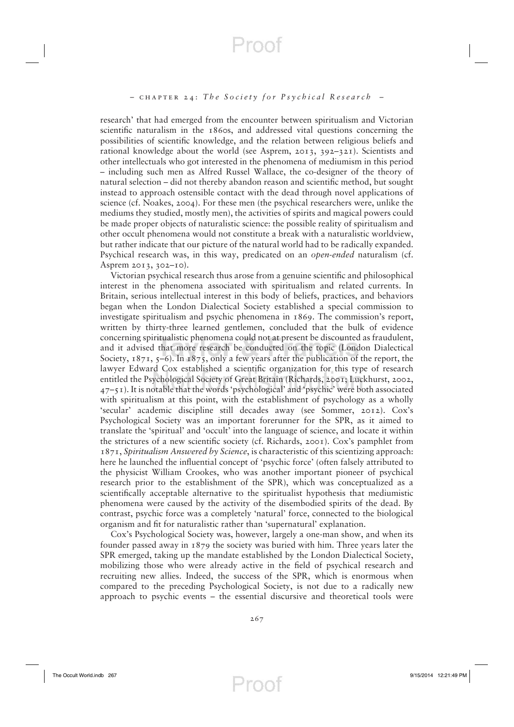# Proot

research' that had emerged from the encounter between spiritualism and Victorian scientific naturalism in the  $1860s$ , and addressed vital questions concerning the possibilities of scientific knowledge, and the relation between religious beliefs and rational knowledge about the world (see Asprem, 2013, 392–321). Scientists and other intellectuals who got interested in the phenomena of mediumism in this period – including such men as Alfred Russel Wallace, the co-designer of the theory of natural selection – did not thereby abandon reason and scientific method, but sought instead to approach ostensible contact with the dead through novel applications of science (cf. Noakes, 2004). For these men (the psychical researchers were, unlike the mediums they studied, mostly men), the activities of spirits and magical powers could be made proper objects of naturalistic science: the possible reality of spiritualism and other occult phenomena would not constitute a break with a naturalistic worldview, but rather indicate that our picture of the natural world had to be radically expanded. Psychical research was, in this way, predicated on an *open-ended* naturalism (cf. Asprem 2013, 302–10).

Victorian psychical research thus arose from a genuine scientific and philosophical interest in the phenomena associated with spiritualism and related currents. In Britain, serious intellectual interest in this body of beliefs, practices, and behaviors began when the London Dialectical Society established a special commission to investigate spiritualism and psychic phenomena in 1869. The commission's report, written by thirty-three learned gentlemen, concluded that the bulk of evidence concerning spiritualistic phenomena could not at present be discounted as fraudulent, and it advised that more research be conducted on the topic (London Dialectical Society,  $1871$ ,  $5-6$ ). In  $1875$ , only a few years after the publication of the report, the lawyer Edward Cox established a scientific organization for this type of research entitled the Psychological Society of Great Britain (Richards, 2001; Luckhurst, 2002,  $47-51$ ). It is notable that the words 'psychological' and 'psychic' were both associated with spiritualism at this point, with the establishment of psychology as a wholly 'secular' academic discipline still decades away (see Sommer, 2012). Cox's Psychological Society was an important forerunner for the SPR, as it aimed to translate the 'spiritual' and 'occult' into the language of science, and locate it within the strictures of a new scientific society (cf. Richards, 2001). Cox's pamphlet from 1871, *Spiritualism Answered by Science*, is characteristic of this scientizing approach: here he launched the influential concept of 'psychic force' (often falsely attributed to the physicist William Crookes, who was another important pioneer of psychical research prior to the establishment of the SPR), which was conceptualized as a scientifically acceptable alternative to the spiritualist hypothesis that mediumistic phenomena were caused by the activity of the disembodied spirits of the dead. By contrast, psychic force was a completely 'natural' force, connected to the biological organism and fit for naturalistic rather than 'supernatural' explanation.

Cox's Psychological Society was, however, largely a one-man show, and when its founder passed away in 1879 the society was buried with him. Three years later the SPR emerged, taking up the mandate established by the London Dialectical Society, mobilizing those who were already active in the field of psychical research and recruiting new allies. Indeed, the success of the SPR, which is enormous when compared to the preceding Psychological Society, is not due to a radically new approach to psychic events – the essential discursive and theoretical tools were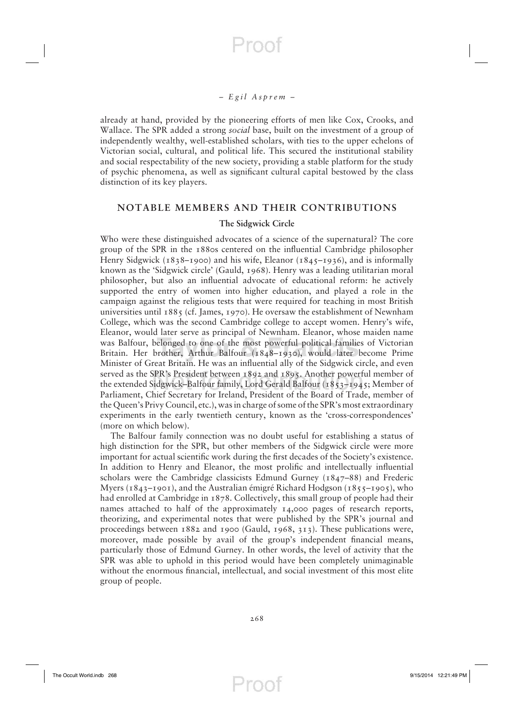### *– Egil Asprem –*

Proot

already at hand, provided by the pioneering efforts of men like Cox, Crooks, and Wallace. The SPR added a strong *social* base, built on the investment of a group of independently wealthy, well-established scholars, with ties to the upper echelons of Victorian social, cultural, and political life. This secured the institutional stability and social respectability of the new society, providing a stable platform for the study of psychic phenomena, as well as significant cultural capital bestowed by the class distinction of its key players.

### **NOTABLE MEMBERS AND THEIR CONTRIBUTIONS**

### **The Sidgwick Circle**

Who were these distinguished advocates of a science of the supernatural? The core group of the SPR in the 1880s centered on the influential Cambridge philosopher Henry Sidgwick (1838–1900) and his wife, Eleanor (1845–1936), and is informally known as the 'Sidgwick circle' (Gauld, 1968). Henry was a leading utilitarian moral philosopher, but also an influential advocate of educational reform: he actively supported the entry of women into higher education, and played a role in the campaign against the religious tests that were required for teaching in most British universities until 1885 (cf. James, 1970). He oversaw the establishment of Newnham College, which was the second Cambridge college to accept women. Henry's wife, Eleanor, would later serve as principal of Newnham. Eleanor, whose maiden name was Balfour, belonged to one of the most powerful political families of Victorian Britain. Her brother, Arthur Balfour (1848–1930), would later become Prime Minister of Great Britain. He was an influential ally of the Sidgwick circle, and even served as the SPR's President between 1892 and 1895. Another powerful member of the extended Sidgwick–Balfour family, Lord Gerald Balfour (1853–1945; Member of Parliament, Chief Secretary for Ireland, President of the Board of Trade, member of the Queen's Privy Council, etc.), was in charge of some of the SPR's most extraordinary experiments in the early twentieth century, known as the 'cross-correspondences' (more on which below).

The Balfour family connection was no doubt useful for establishing a status of high distinction for the SPR, but other members of the Sidgwick circle were more important for actual scientific work during the first decades of the Society's existence. In addition to Henry and Eleanor, the most prolific and intellectually influential scholars were the Cambridge classicists Edmund Gurney (1847–88) and Frederic Myers (1843–1901), and the Australian émigré Richard Hodgson (1855–1905), who had enrolled at Cambridge in 1878. Collectively, this small group of people had their names attached to half of the approximately 14,000 pages of research reports, theorizing, and experimental notes that were published by the SPR's journal and proceedings between 1882 and 1900 (Gauld, 1968, 313). These publications were, moreover, made possible by avail of the group's independent financial means, particularly those of Edmund Gurney. In other words, the level of activity that the SPR was able to uphold in this period would have been completely unimaginable without the enormous financial, intellectual, and social investment of this most elite group of people.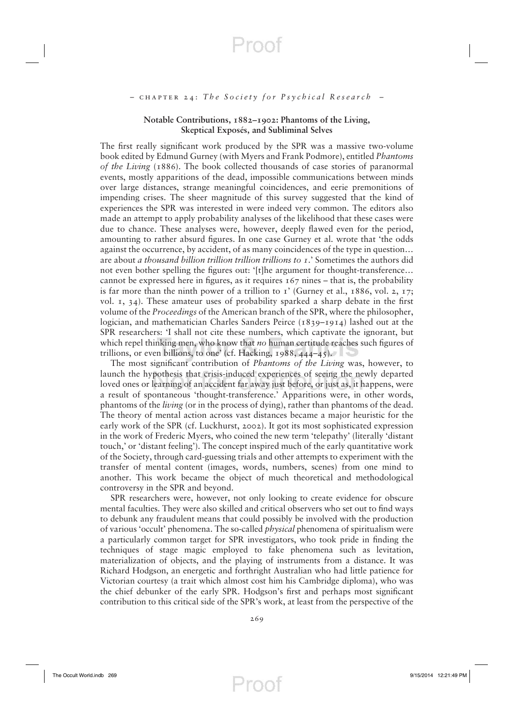#### *–* chapter 24: *The Society for Psychical Research –*

### **Notable Contributions, 1882–1902: Phantoms of the Living, Skeptical Exposés, and Subliminal Selves**

The first really significant work produced by the SPR was a massive two-volume book edited by Edmund Gurney (with Myers and Frank Podmore), entitled *Phantoms of the Living* (1886). The book collected thousands of case stories of paranormal events, mostly apparitions of the dead, impossible communications between minds over large distances, strange meaningful coincidences, and eerie premonitions of impending crises. The sheer magnitude of this survey suggested that the kind of experiences the SPR was interested in were indeed very common. The editors also made an attempt to apply probability analyses of the likelihood that these cases were due to chance. These analyses were, however, deeply flawed even for the period, amounting to rather absurd figures. In one case Gurney et al. wrote that 'the odds against the occurrence, by accident, of as many coincidences of the type in question… are about *a thousand billion trillion trillion trillions to 1*.' Sometimes the authors did not even bother spelling the figures out: '[t]he argument for thought-transference... cannot be expressed here in figures, as it requires  $167$  nines – that is, the probability is far more than the ninth power of a trillion to  $\mathbf{r}'$  (Gurney et al., 1886, vol. 2, 17; vol.  $I$ , 34). These amateur uses of probability sparked a sharp debate in the first volume of the *Proceedings* of the American branch of the SPR, where the philosopher, logician, and mathematician Charles Sanders Peirce (1839–1914) lashed out at the SPR researchers: 'I shall not cite these numbers, which captivate the ignorant, but which repel thinking men, who know that *no* human certitude reaches such figures of trillions, or even billions, to one' (cf. Hacking, 1988, 444–45).

The most significant contribution of *Phantoms of the Living* was, however, to launch the hypothesis that crisis-induced experiences of seeing the newly departed loved ones or learning of an accident far away just before, or just as, it happens, were a result of spontaneous 'thought-transference.' Apparitions were, in other words, phantoms of the *living* (or in the process of dying), rather than phantoms of the dead. The theory of mental action across vast distances became a major heuristic for the early work of the SPR (cf. Luckhurst, 2002). It got its most sophisticated expression in the work of Frederic Myers, who coined the new term 'telepathy' (literally 'distant touch,' or 'distant feeling'). The concept inspired much of the early quantitative work of the Society, through card-guessing trials and other attempts to experiment with the transfer of mental content (images, words, numbers, scenes) from one mind to another. This work became the object of much theoretical and methodological controversy in the SPR and beyond.

SPR researchers were, however, not only looking to create evidence for obscure mental faculties. They were also skilled and critical observers who set out to find ways to debunk any fraudulent means that could possibly be involved with the production of various 'occult' phenomena. The so-called *physical* phenomena of spiritualism were a particularly common target for SPR investigators, who took pride in finding the techniques of stage magic employed to fake phenomena such as levitation, materialization of objects, and the playing of instruments from a distance. It was Richard Hodgson, an energetic and forthright Australian who had little patience for Victorian courtesy (a trait which almost cost him his Cambridge diploma), who was the chief debunker of the early SPR. Hodgson's first and perhaps most significant contribution to this critical side of the SPR's work, at least from the perspective of the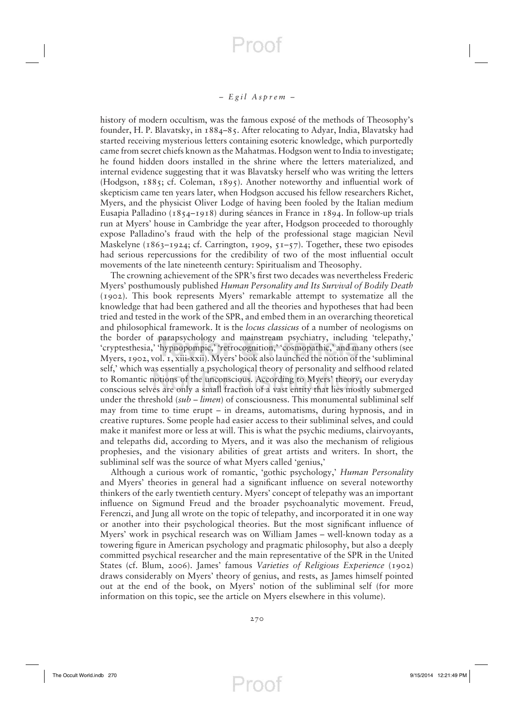# Proot

#### *– Egil Asprem –*

history of modern occultism, was the famous exposé of the methods of Theosophy's founder, H. P. Blavatsky, in 1884–85. After relocating to Adyar, India, Blavatsky had started receiving mysterious letters containing esoteric knowledge, which purportedly came from secret chiefs known as the Mahatmas. Hodgson went to India to investigate; he found hidden doors installed in the shrine where the letters materialized, and internal evidence suggesting that it was Blavatsky herself who was writing the letters (Hodgson, 1885; cf. Coleman, 1895). Another noteworthy and influential work of skepticism came ten years later, when Hodgson accused his fellow researchers Richet, Myers, and the physicist Oliver Lodge of having been fooled by the Italian medium Eusapia Palladino (1854–1918) during séances in France in 1894. In follow-up trials run at Myers' house in Cambridge the year after, Hodgson proceeded to thoroughly expose Palladino's fraud with the help of the professional stage magician Nevil Maskelyne ( $1863-1924$ ; cf. Carrington, 1909,  $51-57$ ). Together, these two episodes had serious repercussions for the credibility of two of the most influential occult movements of the late nineteenth century: Spiritualism and Theosophy.

The crowning achievement of the SPR's first two decades was nevertheless Frederic Myers' posthumously published *Human Personality and Its Survival of Bodily Death* (1902). This book represents Myers' remarkable attempt to systematize all the knowledge that had been gathered and all the theories and hypotheses that had been tried and tested in the work of the SPR, and embed them in an overarching theoretical and philosophical framework. It is the *locus classicus* of a number of neologisms on the border of parapsychology and mainstream psychiatry, including 'telepathy,' 'cryptesthesia,' 'hypnopompic,' 'retrocognition,' 'cosmopathic,' and many others (see Myers, 1902, vol. 1, xiii-xxii). Myers' book also launched the notion of the 'subliminal self,' which was essentially a psychological theory of personality and selfhood related to Romantic notions of the unconscious. According to Myers' theory, our everyday conscious selves are only a small fraction of a vast entity that lies mostly submerged under the threshold (*sub – limen*) of consciousness. This monumental subliminal self may from time to time erupt – in dreams, automatisms, during hypnosis, and in creative ruptures. Some people had easier access to their subliminal selves, and could make it manifest more or less at will. This is what the psychic mediums, clairvoyants, and telepaths did, according to Myers, and it was also the mechanism of religious prophesies, and the visionary abilities of great artists and writers. In short, the subliminal self was the source of what Myers called 'genius,'

Although a curious work of romantic, 'gothic psychology,' *Human Personality* and Myers' theories in general had a significant influence on several noteworthy thinkers of the early twentieth century. Myers' concept of telepathy was an important influence on Sigmund Freud and the broader psychoanalytic movement. Freud, Ferenczi, and Jung all wrote on the topic of telepathy, and incorporated it in one way or another into their psychological theories. But the most significant influence of Myers' work in psychical research was on William James – well-known today as a towering figure in American psychology and pragmatic philosophy, but also a deeply committed psychical researcher and the main representative of the SPR in the United States (cf. Blum, 2006). James' famous *Varieties of Religious Experience* (1902) draws considerably on Myers' theory of genius, and rests, as James himself pointed out at the end of the book, on Myers' notion of the subliminal self (for more information on this topic, see the article on Myers elsewhere in this volume).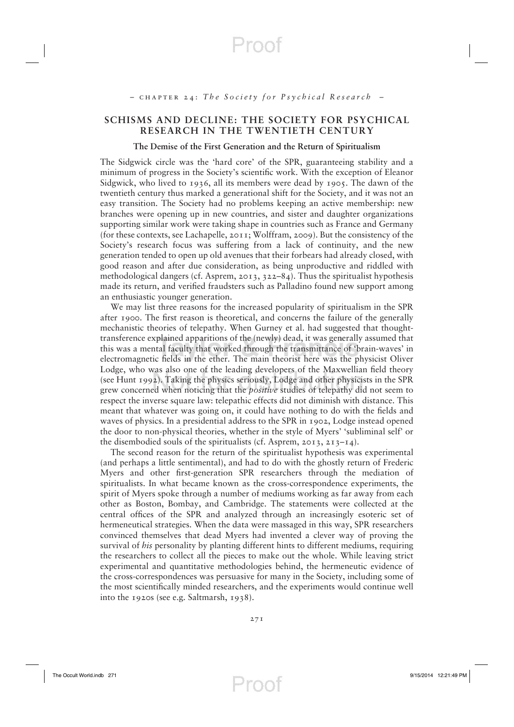### *–* chapter 24: *The Society for Psychical Research –*

### **SCHISMS AND DECLINE: THE SOCIETY FOR PSYCHICAL RESEARCH IN THE TWENTIETH CENTURY**

#### **The Demise of the First Generation and the Return of Spiritualism**

The Sidgwick circle was the 'hard core' of the SPR, guaranteeing stability and a minimum of progress in the Society's scientific work. With the exception of Eleanor Sidgwick, who lived to 1936, all its members were dead by 1905. The dawn of the twentieth century thus marked a generational shift for the Society, and it was not an easy transition. The Society had no problems keeping an active membership: new branches were opening up in new countries, and sister and daughter organizations supporting similar work were taking shape in countries such as France and Germany (for these contexts, see Lachapelle, 2011; Wolffram, 2009). But the consistency of the Society's research focus was suffering from a lack of continuity, and the new generation tended to open up old avenues that their forbears had already closed, with good reason and after due consideration, as being unproductive and riddled with methodological dangers (cf. Asprem, 2013, 322–84). Thus the spiritualist hypothesis made its return, and verified fraudsters such as Palladino found new support among an enthusiastic younger generation.

We may list three reasons for the increased popularity of spiritualism in the SPR after 1900. The first reason is theoretical, and concerns the failure of the generally mechanistic theories of telepathy. When Gurney et al. had suggested that thoughttransference explained apparitions of the (newly) dead, it was generally assumed that this was a mental faculty that worked through the transmittance of 'brain-waves' in electromagnetic fields in the ether. The main theorist here was the physicist Oliver Lodge, who was also one of the leading developers of the Maxwellian field theory (see Hunt 1992). Taking the physics seriously, Lodge and other physicists in the SPR grew concerned when noticing that the *positive* studies of telepathy did not seem to respect the inverse square law: telepathic effects did not diminish with distance. This meant that whatever was going on, it could have nothing to do with the fields and waves of physics. In a presidential address to the SPR in 1902, Lodge instead opened the door to non-physical theories, whether in the style of Myers' 'subliminal self' or the disembodied souls of the spiritualists (cf. Asprem, 2013, 213–14).

The second reason for the return of the spiritualist hypothesis was experimental (and perhaps a little sentimental), and had to do with the ghostly return of Frederic Myers and other first-generation SPR researchers through the mediation of spiritualists. In what became known as the cross-correspondence experiments, the spirit of Myers spoke through a number of mediums working as far away from each other as Boston, Bombay, and Cambridge. The statements were collected at the central offices of the SPR and analyzed through an increasingly esoteric set of hermeneutical strategies. When the data were massaged in this way, SPR researchers convinced themselves that dead Myers had invented a clever way of proving the survival of *his* personality by planting different hints to different mediums, requiring the researchers to collect all the pieces to make out the whole. While leaving strict experimental and quantitative methodologies behind, the hermeneutic evidence of the cross-correspondences was persuasive for many in the Society, including some of the most scientifically minded researchers, and the experiments would continue well into the 1920s (see e.g. Saltmarsh, 1938).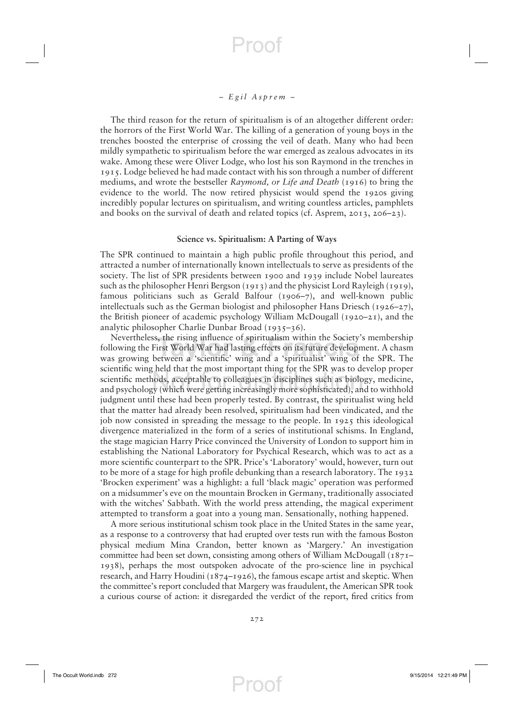### *– Egil Asprem –*

Proot

The third reason for the return of spiritualism is of an altogether different order: the horrors of the First World War. The killing of a generation of young boys in the trenches boosted the enterprise of crossing the veil of death. Many who had been mildly sympathetic to spiritualism before the war emerged as zealous advocates in its wake. Among these were Oliver Lodge, who lost his son Raymond in the trenches in 1915. Lodge believed he had made contact with his son through a number of different mediums, and wrote the bestseller *Raymond, or Life and Death* (1916) to bring the evidence to the world. The now retired physicist would spend the 1920s giving incredibly popular lectures on spiritualism, and writing countless articles, pamphlets and books on the survival of death and related topics (cf. Asprem, 2013, 206–23).

#### **Science vs. Spiritualism: A Parting of Ways**

The SPR continued to maintain a high public profile throughout this period, and attracted a number of internationally known intellectuals to serve as presidents of the society. The list of SPR presidents between 1900 and 1939 include Nobel laureates such as the philosopher Henri Bergson (1913) and the physicist Lord Rayleigh (1919), famous politicians such as Gerald Balfour (1906–7), and well-known public intellectuals such as the German biologist and philosopher Hans Driesch (1926–27), the British pioneer of academic psychology William McDougall ( $1920-21$ ), and the analytic philosopher Charlie Dunbar Broad (1935–36).

Nevertheless, the rising influence of spiritualism within the Society's membership following the First World War had lasting effects on its future development. A chasm was growing between a 'scientific' wing and a 'spiritualist' wing of the SPR. The scientific wing held that the most important thing for the SPR was to develop proper scientific methods, acceptable to colleagues in disciplines such as biology, medicine, and psychology (which were getting increasingly more sophisticated), and to withhold judgment until these had been properly tested. By contrast, the spiritualist wing held that the matter had already been resolved, spiritualism had been vindicated, and the job now consisted in spreading the message to the people. In 1925 this ideological divergence materialized in the form of a series of institutional schisms. In England, the stage magician Harry Price convinced the University of London to support him in establishing the National Laboratory for Psychical Research, which was to act as a more scientific counterpart to the SPR. Price's 'Laboratory' would, however, turn out to be more of a stage for high profile debunking than a research laboratory. The  $1932$ 'Brocken experiment' was a highlight: a full 'black magic' operation was performed on a midsummer's eve on the mountain Brocken in Germany, traditionally associated with the witches' Sabbath. With the world press attending, the magical experiment attempted to transform a goat into a young man. Sensationally, nothing happened.

A more serious institutional schism took place in the United States in the same year, as a response to a controversy that had erupted over tests run with the famous Boston physical medium Mina Crandon, better known as 'Margery.' An investigation committee had been set down, consisting among others of William McDougall (1871– 1938), perhaps the most outspoken advocate of the pro-science line in psychical research, and Harry Houdini (1874–1926), the famous escape artist and skeptic. When the committee's report concluded that Margery was fraudulent, the American SPR took a curious course of action: it disregarded the verdict of the report, fired critics from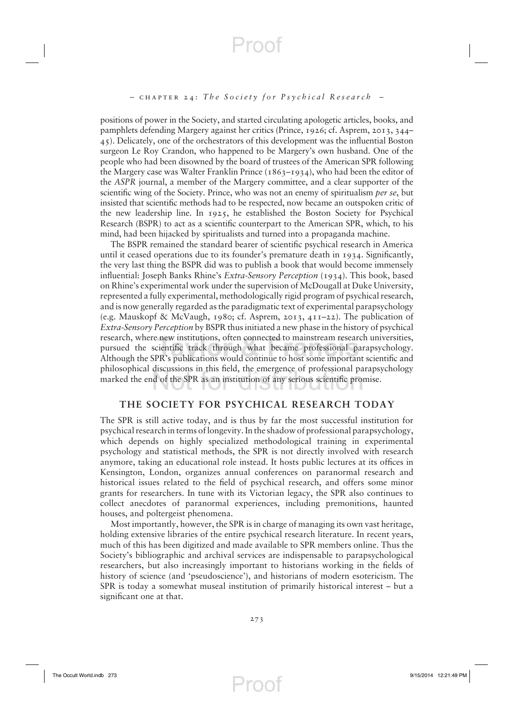# -raot

### *–* chapter 24: *The Society for Psychical Research –*

positions of power in the Society, and started circulating apologetic articles, books, and pamphlets defending Margery against her critics (Prince, 1926; cf. Asprem, 2013, 344– 45). Delicately, one of the orchestrators of this development was the influential Boston surgeon Le Roy Crandon, who happened to be Margery's own husband. One of the people who had been disowned by the board of trustees of the American SPR following the Margery case was Walter Franklin Prince (1863–1934), who had been the editor of the *ASPR* journal, a member of the Margery committee, and a clear supporter of the scientific wing of the Society. Prince, who was not an enemy of spiritualism *per se*, but insisted that scientific methods had to be respected, now became an outspoken critic of the new leadership line. In 1925, he established the Boston Society for Psychical Research (BSPR) to act as a scientific counterpart to the American SPR, which, to his mind, had been hijacked by spiritualists and turned into a propaganda machine.

The BSPR remained the standard bearer of scientific psychical research in America until it ceased operations due to its founder's premature death in  $1934$ . Significantly, the very last thing the BSPR did was to publish a book that would become immensely influential: Joseph Banks Rhine's *Extra-Sensory Perception* (1934). This book, based on Rhine's experimental work under the supervision of McDougall at Duke University, represented a fully experimental, methodologically rigid program of psychical research, and is now generally regarded as the paradigmatic text of experimental parapsychology (e.g. Mauskopf & McVaugh, 1980; cf. Asprem, 2013,  $41I-22$ ). The publication of *Extra-Sensory Perception* by BSPR thus initiated a new phase in the history of psychical research, where new institutions, often connected to mainstream research universities, pursued the scientific track through what became professional parapsychology. Although the SPR's publications would continue to host some important scientific and philosophical discussions in this field, the emergence of professional parapsychology marked the end of the SPR as an institution of any serious scientific promise.

### **THE SOCIETY FOR PSYCHICAL RESEARCH TODAY**

The SPR is still active today, and is thus by far the most successful institution for psychical research in terms of longevity. In the shadow of professional parapsychology, which depends on highly specialized methodological training in experimental psychology and statistical methods, the SPR is not directly involved with research anymore, taking an educational role instead. It hosts public lectures at its offices in Kensington, London, organizes annual conferences on paranormal research and historical issues related to the field of psychical research, and offers some minor grants for researchers. In tune with its Victorian legacy, the SPR also continues to collect anecdotes of paranormal experiences, including premonitions, haunted houses, and poltergeist phenomena.

Most importantly, however, the SPR is in charge of managing its own vast heritage, holding extensive libraries of the entire psychical research literature. In recent years, much of this has been digitized and made available to SPR members online. Thus the Society's bibliographic and archival services are indispensable to parapsychological researchers, but also increasingly important to historians working in the fields of history of science (and 'pseudoscience'), and historians of modern esotericism. The SPR is today a somewhat museal institution of primarily historical interest – but a significant one at that.

Proot